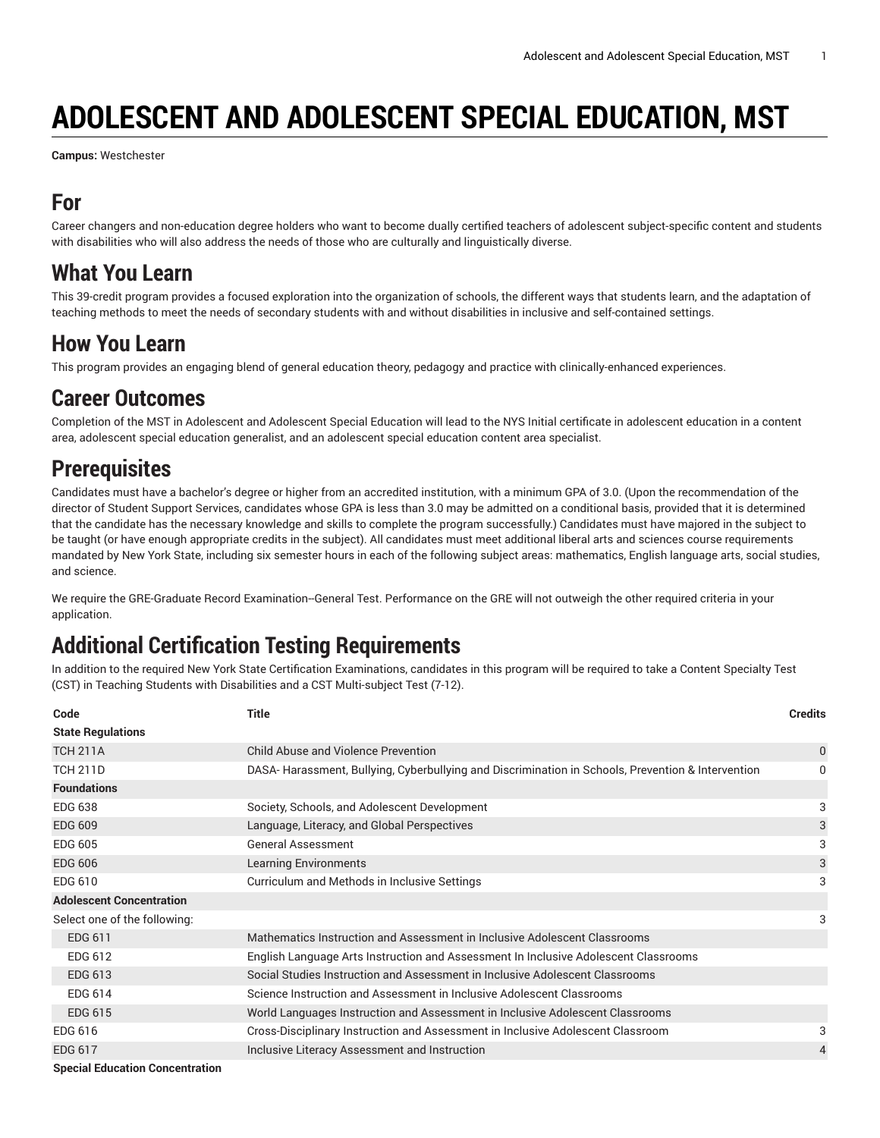# **ADOLESCENT AND ADOLESCENT SPECIAL EDUCATION, MST**

**Campus:** Westchester

#### **For**

Career changers and non-education degree holders who want to become dually certified teachers of adolescent subject-specific content and students with disabilities who will also address the needs of those who are culturally and linguistically diverse.

#### **What You Learn**

This 39-credit program provides a focused exploration into the organization of schools, the different ways that students learn, and the adaptation of teaching methods to meet the needs of secondary students with and without disabilities in inclusive and self-contained settings.

#### **How You Learn**

This program provides an engaging blend of general education theory, pedagogy and practice with clinically-enhanced experiences.

#### **Career Outcomes**

Completion of the MST in Adolescent and Adolescent Special Education will lead to the NYS Initial certificate in adolescent education in a content area, adolescent special education generalist, and an adolescent special education content area specialist.

### **Prerequisites**

Candidates must have a bachelor's degree or higher from an accredited institution, with a minimum GPA of 3.0. (Upon the recommendation of the director of Student Support Services, candidates whose GPA is less than 3.0 may be admitted on a conditional basis, provided that it is determined that the candidate has the necessary knowledge and skills to complete the program successfully.) Candidates must have majored in the subject to be taught (or have enough appropriate credits in the subject). All candidates must meet additional liberal arts and sciences course requirements mandated by New York State, including six semester hours in each of the following subject areas: mathematics, English language arts, social studies, and science.

We require the GRE-Graduate Record Examination--General Test. Performance on the GRE will not outweigh the other required criteria in your application.

## **Additional Certification Testing Requirements**

In addition to the required New York State Certification Examinations, candidates in this program will be required to take a Content Specialty Test (CST) in Teaching Students with Disabilities and a CST Multi-subject Test (7-12).

| Code                            | <b>Title</b>                                                                                      | <b>Credits</b> |
|---------------------------------|---------------------------------------------------------------------------------------------------|----------------|
| <b>State Regulations</b>        |                                                                                                   |                |
| <b>TCH 211A</b>                 | Child Abuse and Violence Prevention                                                               | 0              |
| <b>TCH 211D</b>                 | DASA-Harassment, Bullying, Cyberbullying and Discrimination in Schools, Prevention & Intervention | 0              |
| <b>Foundations</b>              |                                                                                                   |                |
| <b>EDG 638</b>                  | Society, Schools, and Adolescent Development                                                      | 3              |
| <b>EDG 609</b>                  | Language, Literacy, and Global Perspectives                                                       | 3              |
| <b>EDG 605</b>                  | <b>General Assessment</b>                                                                         | 3              |
| <b>EDG 606</b>                  | <b>Learning Environments</b>                                                                      | 3              |
| EDG 610                         | Curriculum and Methods in Inclusive Settings                                                      | 3              |
| <b>Adolescent Concentration</b> |                                                                                                   |                |
| Select one of the following:    |                                                                                                   | 3              |
| EDG 611                         | Mathematics Instruction and Assessment in Inclusive Adolescent Classrooms                         |                |
| EDG 612                         | English Language Arts Instruction and Assessment In Inclusive Adolescent Classrooms               |                |
| <b>EDG 613</b>                  | Social Studies Instruction and Assessment in Inclusive Adolescent Classrooms                      |                |
| EDG 614                         | Science Instruction and Assessment in Inclusive Adolescent Classrooms                             |                |
| <b>EDG 615</b>                  | World Languages Instruction and Assessment in Inclusive Adolescent Classrooms                     |                |
| EDG 616                         | Cross-Disciplinary Instruction and Assessment in Inclusive Adolescent Classroom                   | 3              |
| <b>EDG 617</b>                  | Inclusive Literacy Assessment and Instruction                                                     | 4              |
|                                 |                                                                                                   |                |

**Special Education Concentration**